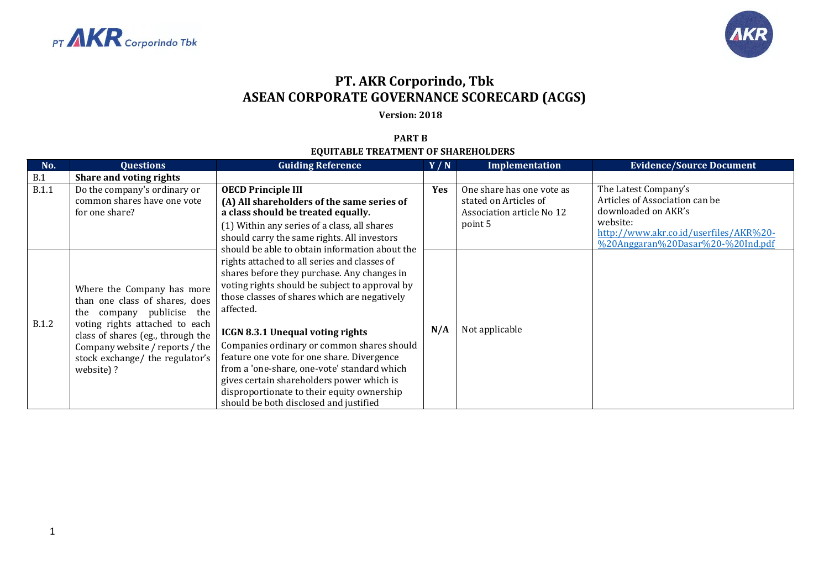



## **PT. AKR Corporindo, Tbk ASEAN CORPORATE GOVERNANCE SCORECARD (ACGS)**

**Version: 2018**

## **PART B EQUITABLE TREATMENT OF SHAREHOLDERS**

| No.          | <b>Questions</b>                                                                                                                                                                                                                                       | <b>Guiding Reference</b>                                                                                                                                                                                                                                                                                                                                                                                                                                                                                                                                                                                                                                                                                                                                                                                | Y/N | Implementation                                                                             | <b>Evidence/Source Document</b>                                                                                                                                          |
|--------------|--------------------------------------------------------------------------------------------------------------------------------------------------------------------------------------------------------------------------------------------------------|---------------------------------------------------------------------------------------------------------------------------------------------------------------------------------------------------------------------------------------------------------------------------------------------------------------------------------------------------------------------------------------------------------------------------------------------------------------------------------------------------------------------------------------------------------------------------------------------------------------------------------------------------------------------------------------------------------------------------------------------------------------------------------------------------------|-----|--------------------------------------------------------------------------------------------|--------------------------------------------------------------------------------------------------------------------------------------------------------------------------|
| B.1          | Share and voting rights                                                                                                                                                                                                                                |                                                                                                                                                                                                                                                                                                                                                                                                                                                                                                                                                                                                                                                                                                                                                                                                         |     |                                                                                            |                                                                                                                                                                          |
| <b>B.1.1</b> | Do the company's ordinary or<br>common shares have one vote<br>for one share?                                                                                                                                                                          | <b>OECD Principle III</b><br>(A) All shareholders of the same series of<br>a class should be treated equally.<br>(1) Within any series of a class, all shares<br>should carry the same rights. All investors<br>should be able to obtain information about the<br>rights attached to all series and classes of<br>shares before they purchase. Any changes in<br>voting rights should be subject to approval by<br>those classes of shares which are negatively<br>affected.<br><b>ICGN 8.3.1 Unequal voting rights</b><br>Companies ordinary or common shares should<br>feature one vote for one share. Divergence<br>from a 'one-share, one-vote' standard which<br>gives certain shareholders power which is<br>disproportionate to their equity ownership<br>should be both disclosed and justified | Yes | One share has one vote as<br>stated on Articles of<br>Association article No 12<br>point 5 | The Latest Company's<br>Articles of Association can be<br>downloaded on AKR's<br>website:<br>http://www.akr.co.id/userfiles/AKR%20-<br>%20Anggaran%20Dasar%20-%20Ind.pdf |
| <b>B.1.2</b> | Where the Company has more<br>than one class of shares, does<br>company publicise the<br>the<br>voting rights attached to each<br>class of shares (eg., through the<br>Company website / reports / the<br>stock exchange/ the regulator's<br>website)? |                                                                                                                                                                                                                                                                                                                                                                                                                                                                                                                                                                                                                                                                                                                                                                                                         | N/A | Not applicable                                                                             |                                                                                                                                                                          |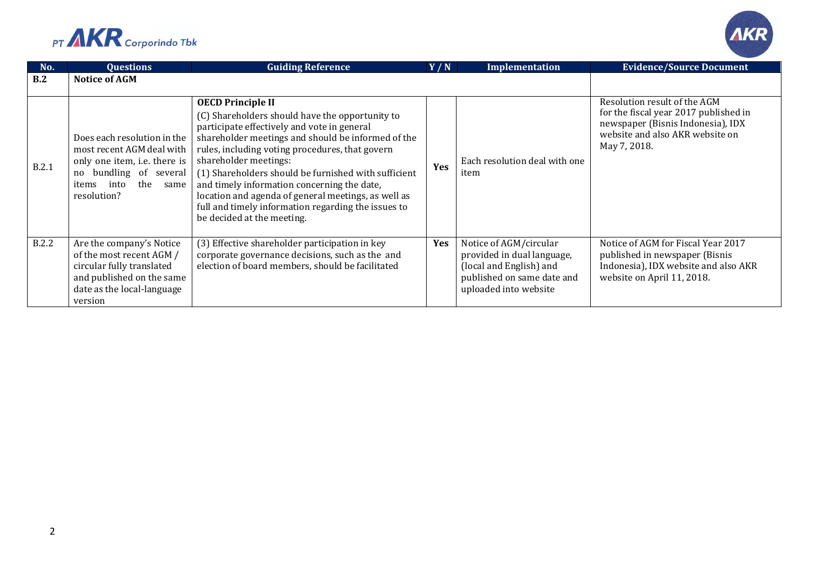



| No.          | <b>Questions</b>                                                                                                                                                  | <b>Guiding Reference</b>                                                                                                                                                                                                                                                                                                                                                                                                                                                                                        | Y/N        | <b>Implementation</b>                                                                                                                  | <b>Evidence/Source Document</b>                                                                                                                               |
|--------------|-------------------------------------------------------------------------------------------------------------------------------------------------------------------|-----------------------------------------------------------------------------------------------------------------------------------------------------------------------------------------------------------------------------------------------------------------------------------------------------------------------------------------------------------------------------------------------------------------------------------------------------------------------------------------------------------------|------------|----------------------------------------------------------------------------------------------------------------------------------------|---------------------------------------------------------------------------------------------------------------------------------------------------------------|
| B.2          | <b>Notice of AGM</b>                                                                                                                                              |                                                                                                                                                                                                                                                                                                                                                                                                                                                                                                                 |            |                                                                                                                                        |                                                                                                                                                               |
| B.2.1        | Does each resolution in the<br>most recent AGM deal with<br>only one item, i.e. there is<br>no bundling of several<br>the<br>into<br>items<br>same<br>resolution? | <b>OECD Principle II</b><br>(C) Shareholders should have the opportunity to<br>participate effectively and vote in general<br>shareholder meetings and should be informed of the<br>rules, including voting procedures, that govern<br>shareholder meetings:<br>(1) Shareholders should be furnished with sufficient<br>and timely information concerning the date,<br>location and agenda of general meetings, as well as<br>full and timely information regarding the issues to<br>be decided at the meeting. | Yes        | Each resolution deal with one<br>item                                                                                                  | Resolution result of the AGM<br>for the fiscal year 2017 published in<br>newspaper (Bisnis Indonesia), IDX<br>website and also AKR website on<br>May 7, 2018. |
| <b>B.2.2</b> | Are the company's Notice<br>of the most recent AGM /<br>circular fully translated<br>and published on the same<br>date as the local-language<br>version           | (3) Effective shareholder participation in key<br>corporate governance decisions, such as the and<br>election of board members, should be facilitated                                                                                                                                                                                                                                                                                                                                                           | <b>Yes</b> | Notice of AGM/circular<br>provided in dual language,<br>(local and English) and<br>published on same date and<br>uploaded into website | Notice of AGM for Fiscal Year 2017<br>published in newspaper (Bisnis<br>Indonesia), IDX website and also AKR<br>website on April 11, 2018.                    |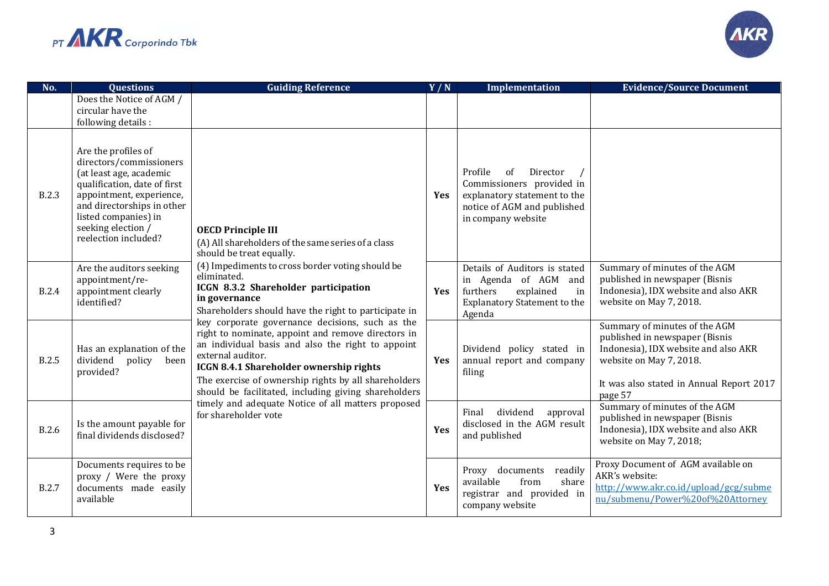



| No.          | <b>Questions</b>                                                                                                                                                                                                                          | <b>Guiding Reference</b>                                                                                                                                                                                                                                                                                                                                                                                                                                                                                                                                                                                                                                                                                                           | Y/N        | <b>Implementation</b>                                                                                                                       | <b>Evidence/Source Document</b>                                                                                                                                                           |
|--------------|-------------------------------------------------------------------------------------------------------------------------------------------------------------------------------------------------------------------------------------------|------------------------------------------------------------------------------------------------------------------------------------------------------------------------------------------------------------------------------------------------------------------------------------------------------------------------------------------------------------------------------------------------------------------------------------------------------------------------------------------------------------------------------------------------------------------------------------------------------------------------------------------------------------------------------------------------------------------------------------|------------|---------------------------------------------------------------------------------------------------------------------------------------------|-------------------------------------------------------------------------------------------------------------------------------------------------------------------------------------------|
|              | Does the Notice of AGM /<br>circular have the<br>following details :                                                                                                                                                                      |                                                                                                                                                                                                                                                                                                                                                                                                                                                                                                                                                                                                                                                                                                                                    |            |                                                                                                                                             |                                                                                                                                                                                           |
| <b>B.2.3</b> | Are the profiles of<br>directors/commissioners<br>(at least age, academic<br>qualification, date of first<br>appointment, experience,<br>and directorships in other<br>listed companies) in<br>seeking election /<br>reelection included? | <b>OECD Principle III</b><br>(A) All shareholders of the same series of a class<br>should be treat equally.<br>(4) Impediments to cross border voting should be<br>eliminated.<br>ICGN 8.3.2 Shareholder participation<br>in governance<br>Shareholders should have the right to participate in<br>key corporate governance decisions, such as the<br>right to nominate, appoint and remove directors in<br>an individual basis and also the right to appoint<br>external auditor.<br><b>ICGN 8.4.1 Shareholder ownership rights</b><br>The exercise of ownership rights by all shareholders<br>should be facilitated, including giving shareholders<br>timely and adequate Notice of all matters proposed<br>for shareholder vote | <b>Yes</b> | Profile<br>of<br>Director<br>Commissioners provided in<br>explanatory statement to the<br>notice of AGM and published<br>in company website |                                                                                                                                                                                           |
| <b>B.2.4</b> | Are the auditors seeking<br>appointment/re-<br>appointment clearly<br>identified?                                                                                                                                                         |                                                                                                                                                                                                                                                                                                                                                                                                                                                                                                                                                                                                                                                                                                                                    | Yes        | Details of Auditors is stated<br>in Agenda of AGM and<br>furthers<br>explained<br>in<br><b>Explanatory Statement to the</b><br>Agenda       | Summary of minutes of the AGM<br>published in newspaper (Bisnis<br>Indonesia), IDX website and also AKR<br>website on May 7, 2018.                                                        |
| <b>B.2.5</b> | Has an explanation of the<br>dividend<br>policy<br>been<br>provided?                                                                                                                                                                      |                                                                                                                                                                                                                                                                                                                                                                                                                                                                                                                                                                                                                                                                                                                                    | Yes        | Dividend policy stated in<br>annual report and company<br>filing                                                                            | Summary of minutes of the AGM<br>published in newspaper (Bisnis<br>Indonesia), IDX website and also AKR<br>website on May 7, 2018.<br>It was also stated in Annual Report 2017<br>page 57 |
| <b>B.2.6</b> | Is the amount payable for<br>final dividends disclosed?                                                                                                                                                                                   |                                                                                                                                                                                                                                                                                                                                                                                                                                                                                                                                                                                                                                                                                                                                    | Yes        | dividend<br>approval<br>Final<br>disclosed in the AGM result<br>and published                                                               | Summary of minutes of the AGM<br>published in newspaper (Bisnis<br>Indonesia), IDX website and also AKR<br>website on May 7, 2018;                                                        |
| <b>B.2.7</b> | Documents requires to be<br>proxy / Were the proxy<br>documents made easily<br>available                                                                                                                                                  |                                                                                                                                                                                                                                                                                                                                                                                                                                                                                                                                                                                                                                                                                                                                    | Yes        | Proxy documents<br>readily<br>available<br>share<br>from<br>registrar and provided in<br>company website                                    | Proxy Document of AGM available on<br>AKR's website:<br>http://www.akr.co.id/upload/gcg/subme<br>nu/submenu/Power%20of%20Attorney                                                         |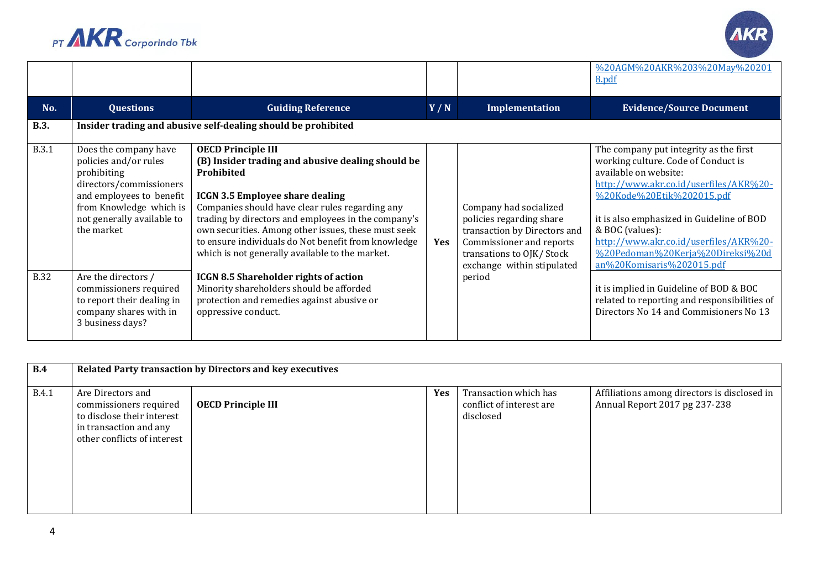



|              |                                                                                                                                                                                             |                                                                                                                                                                                                                                                                                                                                                                                                                   |            |                                                                                                                                                                           | %20AGM%20AKR%203%20May%20201<br>8.pdf                                                                                                                                                                                                                                                                                                                    |
|--------------|---------------------------------------------------------------------------------------------------------------------------------------------------------------------------------------------|-------------------------------------------------------------------------------------------------------------------------------------------------------------------------------------------------------------------------------------------------------------------------------------------------------------------------------------------------------------------------------------------------------------------|------------|---------------------------------------------------------------------------------------------------------------------------------------------------------------------------|----------------------------------------------------------------------------------------------------------------------------------------------------------------------------------------------------------------------------------------------------------------------------------------------------------------------------------------------------------|
| No.          | <b>Questions</b>                                                                                                                                                                            | <b>Guiding Reference</b>                                                                                                                                                                                                                                                                                                                                                                                          | Y/N        | Implementation                                                                                                                                                            | <b>Evidence/Source Document</b>                                                                                                                                                                                                                                                                                                                          |
| <b>B.3.</b>  |                                                                                                                                                                                             | Insider trading and abusive self-dealing should be prohibited                                                                                                                                                                                                                                                                                                                                                     |            |                                                                                                                                                                           |                                                                                                                                                                                                                                                                                                                                                          |
| <b>B.3.1</b> | Does the company have<br>policies and/or rules<br>prohibiting<br>directors/commissioners<br>and employees to benefit<br>from Knowledge which is<br>not generally available to<br>the market | <b>OECD Principle III</b><br>(B) Insider trading and abusive dealing should be<br>Prohibited<br><b>ICGN 3.5 Employee share dealing</b><br>Companies should have clear rules regarding any<br>trading by directors and employees in the company's<br>own securities. Among other issues, these must seek<br>to ensure individuals do Not benefit from knowledge<br>which is not generally available to the market. | <b>Yes</b> | Company had socialized<br>policies regarding share<br>transaction by Directors and<br>Commissioner and reports<br>transations to OJK/ Stock<br>exchange within stipulated | The company put integrity as the first<br>working culture. Code of Conduct is<br>available on website:<br>http://www.akr.co.id/userfiles/AKR%20-<br>%20Kode%20Etik%202015.pdf<br>it is also emphasized in Guideline of BOD<br>& BOC (values):<br>http://www.akr.co.id/userfiles/AKR%20-<br>%20Pedoman%20Kerja%20Direksi%20d<br>an%20Komisaris%202015.pdf |
| <b>B.32</b>  | Are the directors /<br>commissioners required<br>to report their dealing in<br>company shares with in<br>3 business days?                                                                   | <b>ICGN 8.5 Shareholder rights of action</b><br>Minority shareholders should be afforded<br>protection and remedies against abusive or<br>oppressive conduct.                                                                                                                                                                                                                                                     |            | period                                                                                                                                                                    | it is implied in Guideline of BOD & BOC<br>related to reporting and responsibilities of<br>Directors No 14 and Commisioners No 13                                                                                                                                                                                                                        |

| B.4          | Related Party transaction by Directors and key executives                                                                          |                           |            |                                                                |                                                                               |  |
|--------------|------------------------------------------------------------------------------------------------------------------------------------|---------------------------|------------|----------------------------------------------------------------|-------------------------------------------------------------------------------|--|
|              |                                                                                                                                    |                           |            |                                                                |                                                                               |  |
| <b>B.4.1</b> | Are Directors and<br>commissioners required<br>to disclose their interest<br>in transaction and any<br>other conflicts of interest | <b>OECD Principle III</b> | <b>Yes</b> | Transaction which has<br>conflict of interest are<br>disclosed | Affiliations among directors is disclosed in<br>Annual Report 2017 pg 237-238 |  |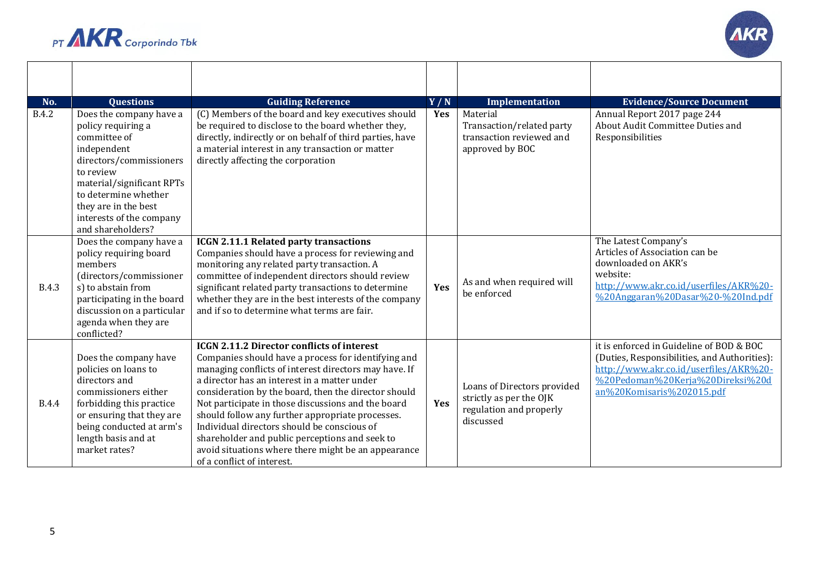



┯

 $\blacksquare$ 

─┌

| No.          | <b>Ouestions</b>                                                                                                                                                                                                                                   | <b>Guiding Reference</b>                                                                                                                                                                                                                                                                                                                                                                                                                                                                                                                                                  | Y/N | Implementation                                                                                 | <b>Evidence/Source Document</b>                                                                                                                                                                     |
|--------------|----------------------------------------------------------------------------------------------------------------------------------------------------------------------------------------------------------------------------------------------------|---------------------------------------------------------------------------------------------------------------------------------------------------------------------------------------------------------------------------------------------------------------------------------------------------------------------------------------------------------------------------------------------------------------------------------------------------------------------------------------------------------------------------------------------------------------------------|-----|------------------------------------------------------------------------------------------------|-----------------------------------------------------------------------------------------------------------------------------------------------------------------------------------------------------|
| <b>B.4.2</b> | Does the company have a<br>policy requiring a<br>committee of<br>independent<br>directors/commissioners<br>to review<br>material/significant RPTs<br>to determine whether<br>they are in the best<br>interests of the company<br>and shareholders? | (C) Members of the board and key executives should<br>be required to disclose to the board whether they,<br>directly, indirectly or on behalf of third parties, have<br>a material interest in any transaction or matter<br>directly affecting the corporation                                                                                                                                                                                                                                                                                                            | Yes | Material<br>Transaction/related party<br>transaction reviewed and<br>approved by BOC           | Annual Report 2017 page 244<br>About Audit Committee Duties and<br>Responsibilities                                                                                                                 |
| <b>B.4.3</b> | Does the company have a<br>policy requiring board<br>members<br>(directors/commissioner<br>s) to abstain from<br>participating in the board<br>discussion on a particular<br>agenda when they are<br>conflicted?                                   | <b>ICGN 2.11.1 Related party transactions</b><br>Companies should have a process for reviewing and<br>monitoring any related party transaction. A<br>committee of independent directors should review<br>significant related party transactions to determine<br>whether they are in the best interests of the company<br>and if so to determine what terms are fair.                                                                                                                                                                                                      | Yes | As and when required will<br>be enforced                                                       | The Latest Company's<br>Articles of Association can be<br>downloaded on AKR's<br>website:<br>http://www.akr.co.id/userfiles/AKR%20-<br>%20Anggaran%20Dasar%20-%20Ind.pdf                            |
| <b>B.4.4</b> | Does the company have<br>policies on loans to<br>directors and<br>commissioners either<br>forbidding this practice<br>or ensuring that they are<br>being conducted at arm's<br>length basis and at<br>market rates?                                | <b>ICGN 2.11.2 Director conflicts of interest</b><br>Companies should have a process for identifying and<br>managing conflicts of interest directors may have. If<br>a director has an interest in a matter under<br>consideration by the board, then the director should<br>Not participate in those discussions and the board<br>should follow any further appropriate processes.<br>Individual directors should be conscious of<br>shareholder and public perceptions and seek to<br>avoid situations where there might be an appearance<br>of a conflict of interest. | Yes | Loans of Directors provided<br>strictly as per the OJK<br>regulation and properly<br>discussed | it is enforced in Guideline of BOD & BOC<br>(Duties, Responsibilities, and Authorities):<br>http://www.akr.co.id/userfiles/AKR%20-<br>%20Pedoman%20Kerja%20Direksi%20d<br>an%20Komisaris%202015.pdf |

┬